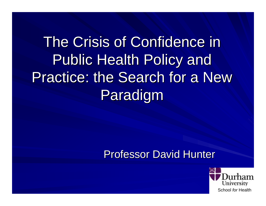# The Crisis of Confidence in Public Health Policy and Practice: the Search for a New Paradigm

#### **Professor David Hunter**

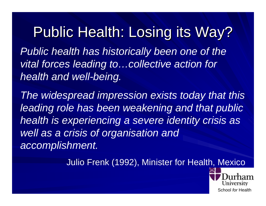Public Health: Losing its Way? *Public health has historically been one of the vital forces leading to…collective action for health and well-being.*

*The widespread impression exists today that this leading role has been weakening and that public health is experiencing a severe identity crisis as well as a crisis of organisation and accomplishment.*

Julio Frenk (1992), Minister for Health, Mexico

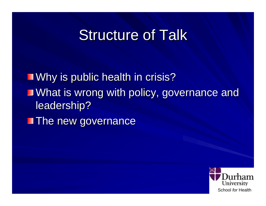### **Structure of Talk**

**Notainary is public health in crisis?** What is wrong with policy, governance and What is wrong with policy, governance and leadership?

**The new governance** 

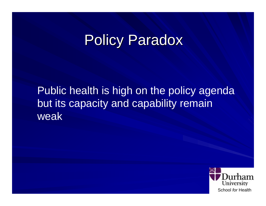### **Policy Paradox**

Public health is high on the policy agenda but its capacity and capability remain weak<sup>1</sup>

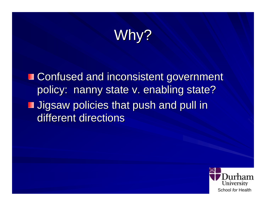## Why?

■ Confused and inconsistent government policy: nanny state v. enabling state? **Jigsaw policies that push and pull in** different directions

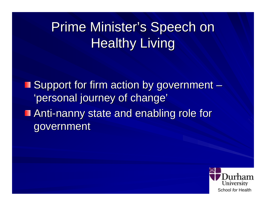## Prime Minister's Speech on **Healthy Living**

Support for firm action by government  $\cdot$ –'personal journey of change' Anti-nanny state and enabling role for government

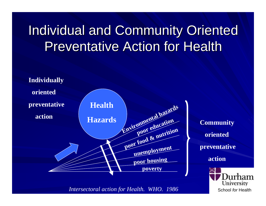## Individual and Community Oriented Preventative Action for Health



*Intersectoral action for Health. WHO. 1986*

School *for* Health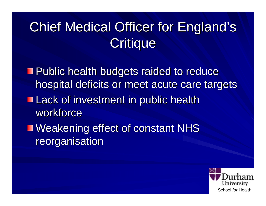## Chief Medical Officer for England's Critique

- Public health budgets raided to reduce hospital deficits or meet acute care targets
- **Lack of investment in public health** workforce
- Weakening effect of constant NHS reorganisation

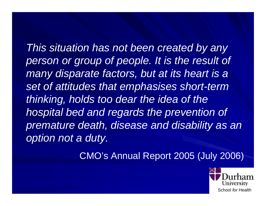*This situation has not been created by any person or group of people. It is the result of many disparate factors, but at its heart is a set of attitudes that emphasises short-term thinking, holds too dear the idea of the hospital bed and regards the prevention of premature death, disease and disability as an option not a duty.*

CMO's Annual Report 2005 (July 2006)

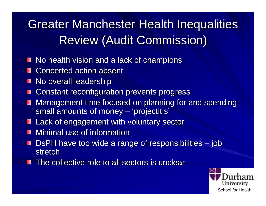#### **Greater Manchester Health Inequalities** Review (Audit Commission)

- No health vision and a lack of champions
- **Concerted action absent** Ш
- No overall leadership
- Constant reconfiguration prevents progress
- Management time focused on planning for and spending small amounts of money  $\cdot$  $\sim$ – 'projectitis'
- Lack of engagement with voluntary sector Ш
- Minimal use of information
- DsPH have too wide a range of responsibilities  $\cdot$  job H  $\mathcal{L}_{\mathcal{A}}$ stretch
- The collective role to all sectors is unclear

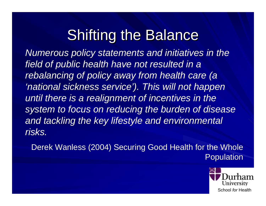## **Shifting the Balance**

*Numerous policy statements and initiatives in the field of public health have not resulted in a rebalancing of policy away from health care (a 'national sickness service'). This will not happen until there is a realignment of incentives in the system to focus on reducing the burden of disease and tackling the key lifestyle and environmental risks.*

Derek Wanless (2004) Securing Good Health for the Whole Population

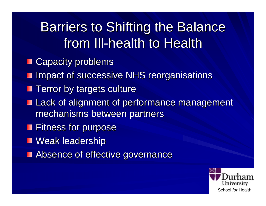## Barriers to Shifting the Balance from III-health to Health

- **Capacity problems** ш
- **II Impact of successive NHS reorganisations**
- **Terror by targets culture**
- **Lack of alignment of performance management** mechanisms between partners
- **Fitness for purpose**
- **Neak leadership**
- **Absence of effective governance**

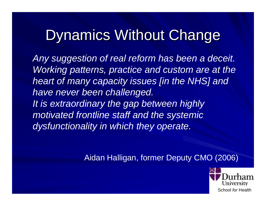## Dynamics Without Change

*Any suggestion of real reform has been a deceit. Working patterns, practice and custom are at the heart of many capacity issues [in the NHS] and have never been challenged. It is extraordinary the gap between highly motivated frontline staff and the systemic dysfunctionality in which they operate.*

Aidan Halligan, former Deputy CMO (2006)

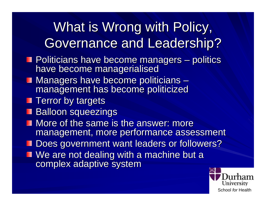## What is Wrong with Policy, Governance and Leadership?

- Politicians have become managers  $\cdot$  $\mathcal{L}_{\mathcal{A}}$ Politicians have become managers – politics<br>have become managerialised
- Managers have become politicians  $\cdot$  $\mathcal{L}_{\mathcal{A}}$  , where  $\mathcal{L}_{\mathcal{A}}$  is the set of the set of the set of the set of the set of the set of the set of the set of the set of the set of the set of the set of the set of the set of the set of the set of the management has become politicized
- $\blacksquare$  Terror by targets
- **Balloon squeezings**
- $\blacksquare$  More of the same is the answer: more management, more performance assessment
- Does government want leaders or followers?
- We are not dealing with a machine but a complex adaptive system

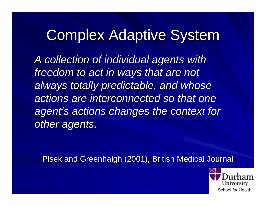#### **Complex Adaptive System**

*A collection of individual agents with freedom to act in ways that are not always totally predictable, and whose actions are interconnected so that one agent's actions changes the context for other agents.*

Plsek and Greenhalgh (2001), British Medical Journal

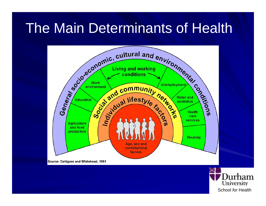## The Main Determinants of Health



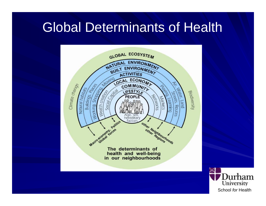#### Global Determinants of Health



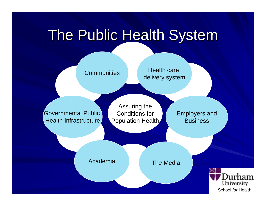## The Public Health System

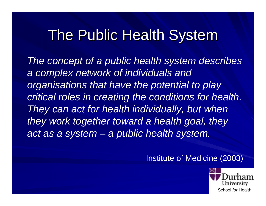## The Public Health System

*The concept of a public health system describes a complex network of individuals and organisations that have the potential to play critical roles in creating the conditions for health. They can act for health individually, but when they work together toward a health goal, they act as a system – a public health system.*

#### Institute of Medicine (2003)

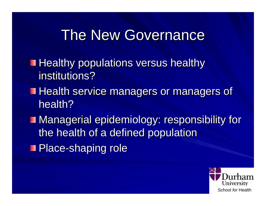#### **The New Governance**

- **Healthy populations versus healthy Healthy** institutions?
- **Health service managers or managers of** health?
- **Managerial epidemiology: responsibility for** the health of a defined population
- Place-shaping role

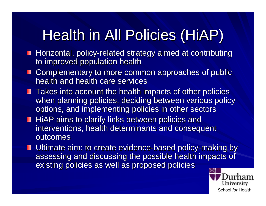## Health in All Policies (HiAP)

- Horizontal, policy-related strategy aimed at contributing to improved population health
- Complementary to more common approaches of public health and health care services
- $\blacksquare$  Takes into account the health impacts of other policies when planning policies, deciding between various policy options, and implementing policies in other sectors
- HiAP aims to clarify links between policies and interventions, health determinants and consequent outcomes
- Ultimate aim: to create evidence-based policy-making by assessing and discussing the possible health impacts of existing policies as well as proposed policies